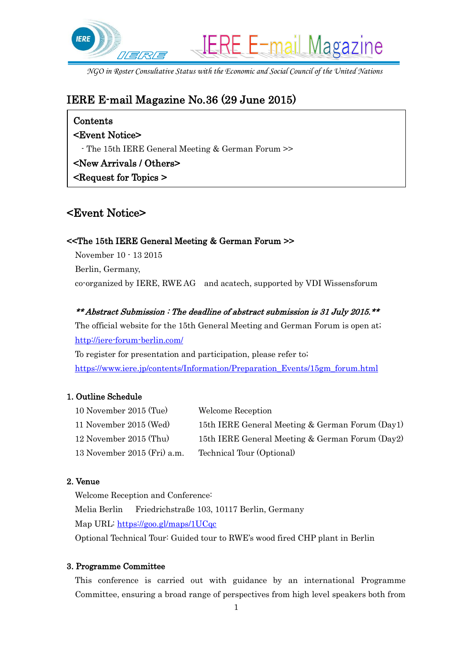

*NGO in Roster Consultative Status with the Economic and Social Council of the United Nations*

# IERE E-mail Magazine No.36 (29 June 2015)

## Contents

### <Event Notice>

- The 15th IERE General Meeting & German Forum >>

## <New Arrivals / Others>

<Request for Topics >

# <Event Notice>

### <<The 15th IERE General Meeting & German Forum >>

November 10 - 13 2015 Berlin, Germany, co-organized by IERE, RWE AG and acatech, supported by VDI Wissensforum

### \*\* Abstract Submission : The deadline of abstract submission is 31 July 2015.\*\*

The official website for the 15th General Meeting and German Forum is open at; <http://iere-forum-berlin.com/>

To register for presentation and participation, please refer to; [https://www.iere.jp/contents/Information/Preparation\\_Events/15gm\\_forum.html](https://www.iere.jp/contents/Information/Preparation_Events/15gm_forum.html)

### 1. Outline Schedule

| Welcome Reception                               |
|-------------------------------------------------|
| 15th IERE General Meeting & German Forum (Day1) |
| 15th IERE General Meeting & German Forum (Day2) |
| Technical Tour (Optional)                       |
|                                                 |

### 2. Venue

Welcome Reception and Conference: Melia Berlin Friedrichstraße 103, 10117 Berlin, Germany Map URL:<https://goo.gl/maps/1UCqc> Optional Technical Tour: Guided tour to RWE's wood fired CHP plant in Berlin

### 3. Programme Committee

This conference is carried out with guidance by an international Programme Committee, ensuring a broad range of perspectives from high level speakers both from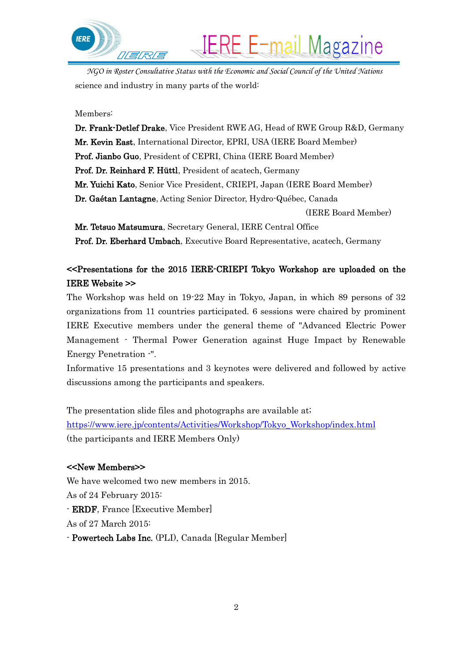

*NGO in Roster Consultative Status with the Economic and Social Council of the United Nations* science and industry in many parts of the world:

**IERE E-mail Magazine** 

#### Members:

Dr. Frank-Detlef Drake, Vice President RWE AG, Head of RWE Group R&D, Germany Mr. Kevin East, International Director, EPRI, USA (IERE Board Member) Prof. Jianbo Guo, President of CEPRI, China (IERE Board Member) Prof. Dr. Reinhard F. Hüttl, President of acatech, Germany Mr. Yuichi Kato, Senior Vice President, CRIEPI, Japan (IERE Board Member) Dr. Gaétan Lantagne, Acting Senior Director, Hydro-Québec, Canada (IERE Board Member) Mr. Tetsuo Matsumura, Secretary General, IERE Central Office

Prof. Dr. Eberhard Umbach, Executive Board Representative, acatech, Germany

## <<Presentations for the 2015 IERE-CRIEPI Tokyo Workshop are uploaded on the IERE Website >>

The Workshop was held on 19-22 May in Tokyo, Japan, in which 89 persons of 32 organizations from 11 countries participated. 6 sessions were chaired by prominent IERE Executive members under the general theme of "Advanced Electric Power Management - Thermal Power Generation against Huge Impact by Renewable Energy Penetration -".

Informative 15 presentations and 3 keynotes were delivered and followed by active discussions among the participants and speakers.

The presentation slide files and photographs are available at; [https://www.iere.jp/contents/Activities/Workshop/Tokyo\\_Workshop/index.html](https://www.iere.jp/contents/Activities/Workshop/Tokyo_Workshop/index.html) (the participants and IERE Members Only)

#### <<New Members>>

We have welcomed two new members in 2015. As of 24 February 2015: - ERDF, France [Executive Member] As of 27 March 2015:

- Powertech Labs Inc. (PLI), Canada [Regular Member]